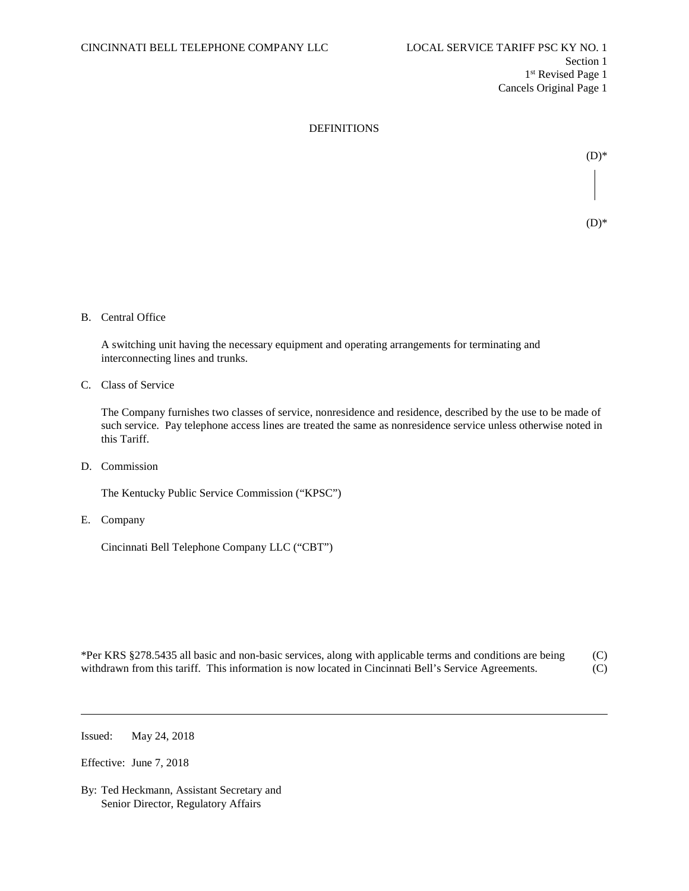

 $(D)*$  $(D)$ \*

B. Central Office

A switching unit having the necessary equipment and operating arrangements for terminating and interconnecting lines and trunks.

C. Class of Service

The Company furnishes two classes of service, nonresidence and residence, described by the use to be made of such service. Pay telephone access lines are treated the same as nonresidence service unless otherwise noted in this Tariff.

D. Commission

The Kentucky Public Service Commission ("KPSC")

E. Company

Cincinnati Bell Telephone Company LLC ("CBT")

\*Per KRS §278.5435 all basic and non-basic services, along with applicable terms and conditions are being (C) withdrawn from this tariff. This information is now located in Cincinnati Bell's Service Agreements. (C)

Issued: May 24, 2018

Effective: June 7, 2018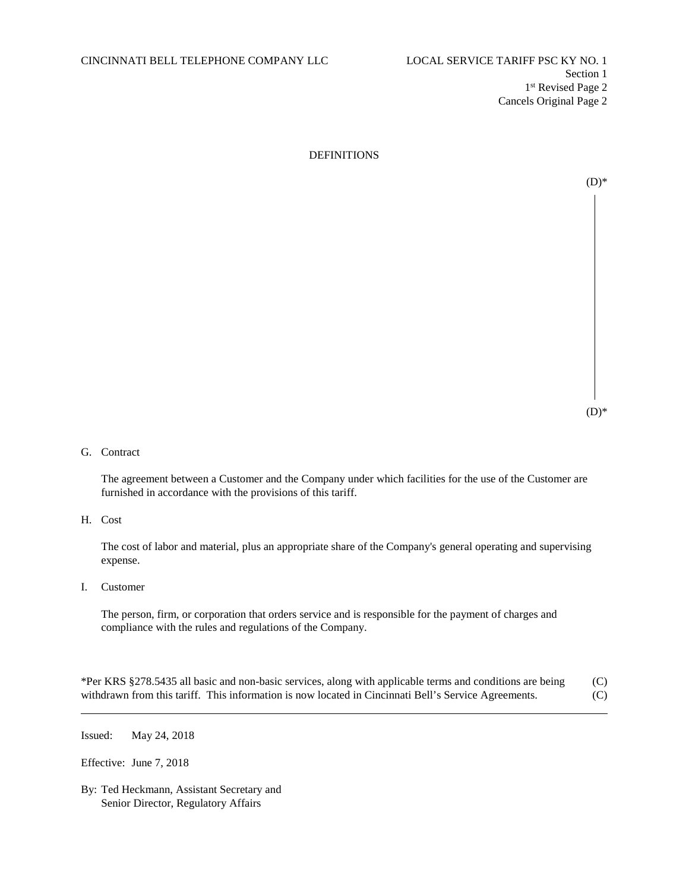$(D)*$ 

## G. Contract

The agreement between a Customer and the Company under which facilities for the use of the Customer are furnished in accordance with the provisions of this tariff.

### H. Cost

The cost of labor and material, plus an appropriate share of the Company's general operating and supervising expense.

I. Customer

The person, firm, or corporation that orders service and is responsible for the payment of charges and compliance with the rules and regulations of the Company.

\*Per KRS §278.5435 all basic and non-basic services, along with applicable terms and conditions are being (C) withdrawn from this tariff. This information is now located in Cincinnati Bell's Service Agreements. (C)

Issued: May 24, 2018

Effective: June 7, 2018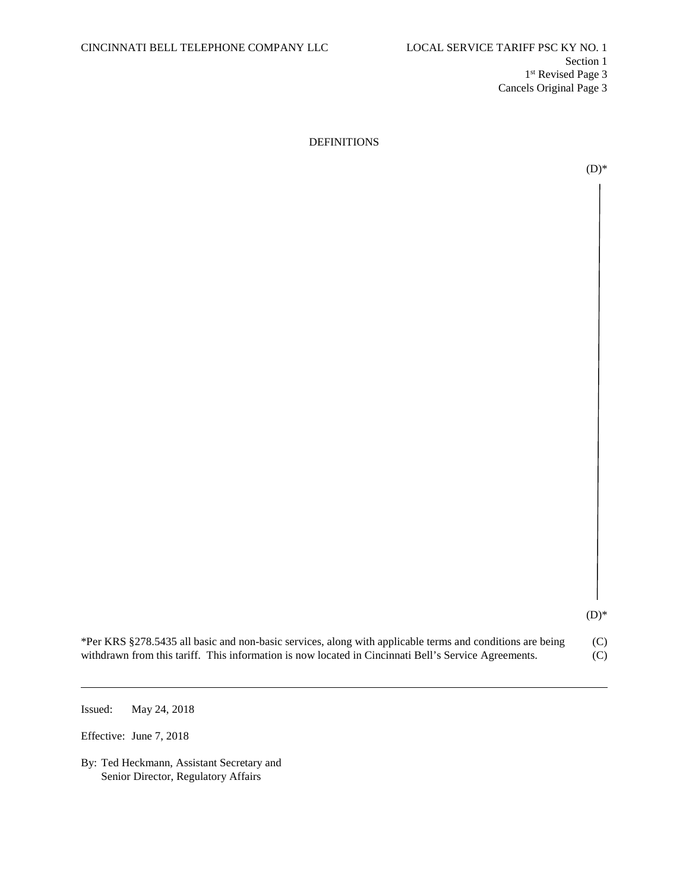$(D)*$ 

 $(D)*$ 

| *Per KRS §278.5435 all basic and non-basic services, along with applicable terms and conditions are being | (C) |
|-----------------------------------------------------------------------------------------------------------|-----|
| withdrawn from this tariff. This information is now located in Cincinnati Bell's Service Agreements.      | (C) |

Issued: May 24, 2018

Effective: June 7, 2018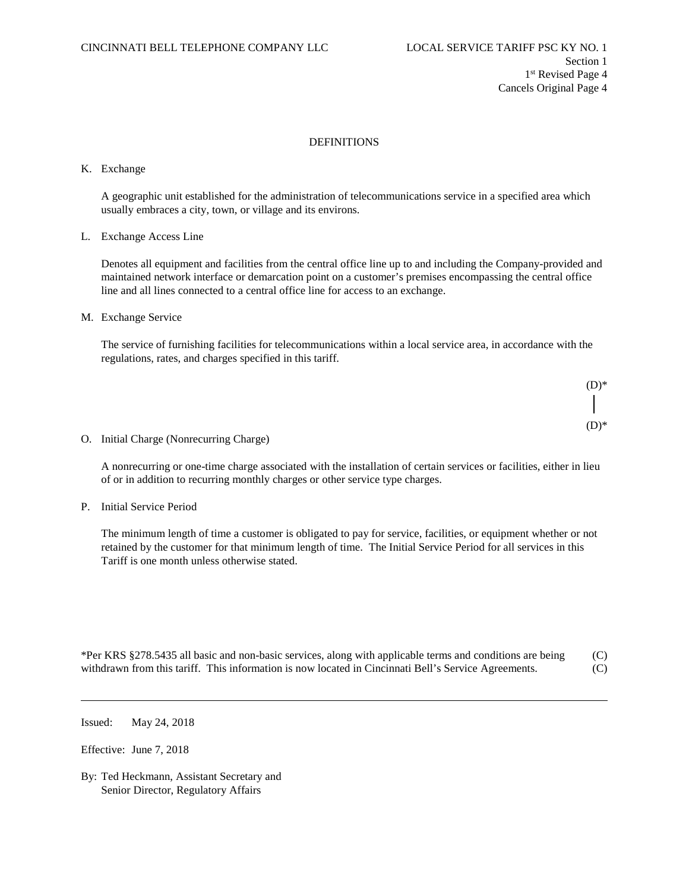#### K. Exchange

A geographic unit established for the administration of telecommunications service in a specified area which usually embraces a city, town, or village and its environs.

#### L. Exchange Access Line

Denotes all equipment and facilities from the central office line up to and including the Company-provided and maintained network interface or demarcation point on a customer's premises encompassing the central office line and all lines connected to a central office line for access to an exchange.

#### M. Exchange Service

The service of furnishing facilities for telecommunications within a local service area, in accordance with the regulations, rates, and charges specified in this tariff.



#### O. Initial Charge (Nonrecurring Charge)

A nonrecurring or one-time charge associated with the installation of certain services or facilities, either in lieu of or in addition to recurring monthly charges or other service type charges.

P. Initial Service Period

The minimum length of time a customer is obligated to pay for service, facilities, or equipment whether or not retained by the customer for that minimum length of time. The Initial Service Period for all services in this Tariff is one month unless otherwise stated.

| *Per KRS §278.5435 all basic and non-basic services, along with applicable terms and conditions are being | (C) |
|-----------------------------------------------------------------------------------------------------------|-----|
| withdrawn from this tariff. This information is now located in Cincinnati Bell's Service Agreements.      | (C) |

Issued: May 24, 2018

Effective: June 7, 2018